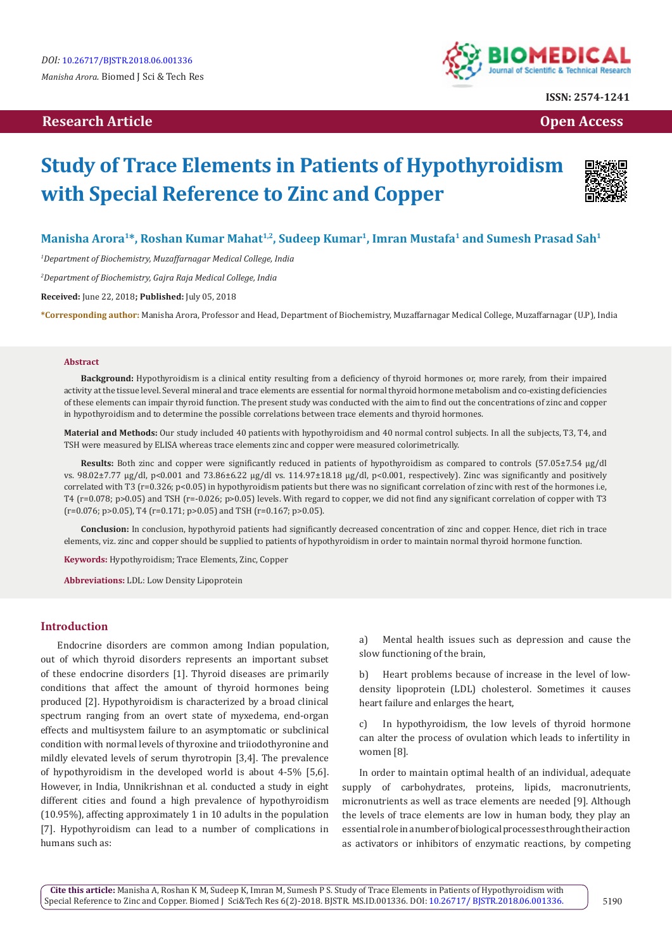# **Research Article Open Access Contract Article Open Access Open Access**



**ISSN: 2574-1241**

# **Study of Trace Elements in Patients of Hypothyroidism with Special Reference to Zinc and Copper**



# Manisha Arora<sup>1\*</sup>, Roshan Kumar Mahat<sup>1,2</sup>, Sudeep Kumar<sup>1</sup>, Imran Mustafa<sup>1</sup> and Sumesh Prasad Sah<sup>1</sup>

*1 Department of Biochemistry, Muzaffarnagar Medical College, India*

*2 Department of Biochemistry, Gajra Raja Medical College, India*

**Received:** June 22, 2018**; Published:** July 05, 2018

**\*Corresponding author:** Manisha Arora, Professor and Head, Department of Biochemistry, Muzaffarnagar Medical College, Muzaffarnagar (U.P), India

#### **Abstract**

**Background:** Hypothyroidism is a clinical entity resulting from a deficiency of thyroid hormones or, more rarely, from their impaired activity at the tissue level. Several mineral and trace elements are essential for normal thyroid hormone metabolism and co-existing deficiencies of these elements can impair thyroid function. The present study was conducted with the aim to find out the concentrations of zinc and copper in hypothyroidism and to determine the possible correlations between trace elements and thyroid hormones.

**Material and Methods:** Our study included 40 patients with hypothyroidism and 40 normal control subjects. In all the subjects, T3, T4, and TSH were measured by ELISA whereas trace elements zinc and copper were measured colorimetrically.

**Results:** Both zinc and copper were significantly reduced in patients of hypothyroidism as compared to controls (57.05±7.54 µg/dl vs.  $98.02\pm7.77$  µg/dl, p<0.001 and  $73.86\pm6.22$  µg/dl vs.  $114.97\pm18.18$  µg/dl, p<0.001, respectively). Zinc was significantly and positively correlated with T3 (r=0.326; p<0.05) in hypothyroidism patients but there was no significant correlation of zinc with rest of the hormones i.e, T4 (r=0.078; p>0.05) and TSH (r=-0.026; p>0.05) levels. With regard to copper, we did not find any significant correlation of copper with T3  $(r=0.076; p>0.05)$ , T4  $(r=0.171; p>0.05)$  and TSH  $(r=0.167; p>0.05)$ .

**Conclusion:** In conclusion, hypothyroid patients had significantly decreased concentration of zinc and copper. Hence, diet rich in trace elements, viz. zinc and copper should be supplied to patients of hypothyroidism in order to maintain normal thyroid hormone function.

**Keywords:** Hypothyroidism; Trace Elements, Zinc, Copper

**Abbreviations:** LDL: Low Density Lipoprotein

# **Introduction**

Endocrine disorders are common among Indian population, out of which thyroid disorders represents an important subset of these endocrine disorders [1]. Thyroid diseases are primarily conditions that affect the amount of thyroid hormones being produced [2]. Hypothyroidism is characterized by a broad clinical spectrum ranging from an overt state of myxedema, end-organ effects and multisystem failure to an asymptomatic or subclinical condition with normal levels of thyroxine and triiodothyronine and mildly elevated levels of serum thyrotropin [3,4]. The prevalence of hypothyroidism in the developed world is about 4-5% [5,6]. However, in India, Unnikrishnan et al. conducted a study in eight different cities and found a high prevalence of hypothyroidism (10.95%), affecting approximately 1 in 10 adults in the population [7]. Hypothyroidism can lead to a number of complications in humans such as:

a) Mental health issues such as depression and cause the slow functioning of the brain,

b) Heart problems because of increase in the level of lowdensity lipoprotein (LDL) cholesterol. Sometimes it causes heart failure and enlarges the heart,

In hypothyroidism, the low levels of thyroid hormone can alter the process of ovulation which leads to infertility in women [8].

In order to maintain optimal health of an individual, adequate supply of carbohydrates, proteins, lipids, macronutrients, micronutrients as well as trace elements are needed [9]. Although the levels of trace elements are low in human body, they play an essential role in a number of biological processes through their action as activators or inhibitors of enzymatic reactions, by competing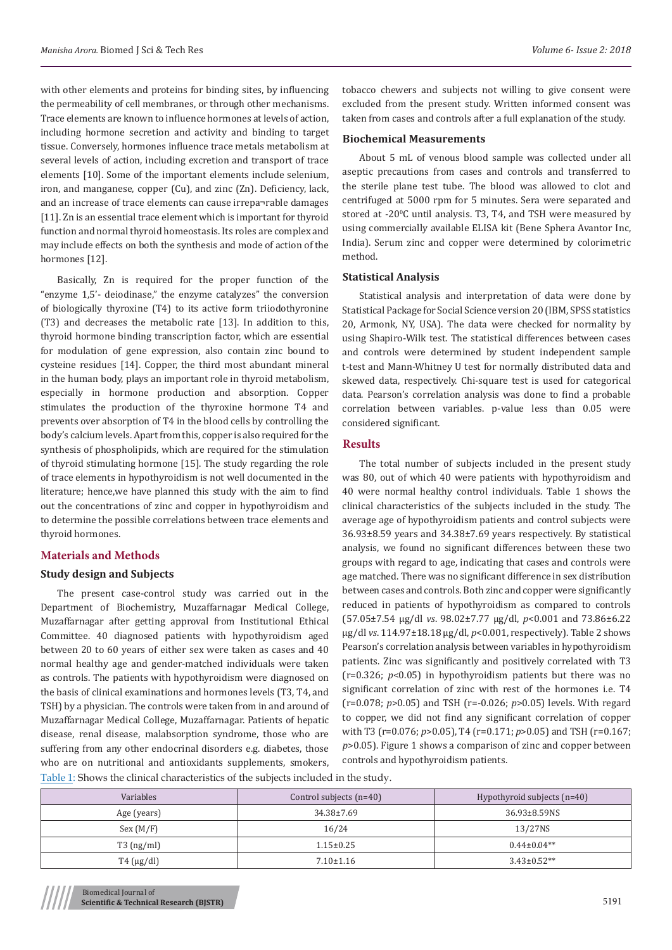with other elements and proteins for binding sites, by influencing the permeability of cell membranes, or through other mechanisms. Trace elements are known to influence hormones at levels of action, including hormone secretion and activity and binding to target tissue. Conversely, hormones influence trace metals metabolism at several levels of action, including excretion and transport of trace elements [10]. Some of the important elements include selenium, iron, and manganese, copper (Cu), and zinc (Zn). Deficiency, lack, and an increase of trace elements can cause irrepa¬rable damages [11]. Zn is an essential trace element which is important for thyroid function and normal thyroid homeostasis. Its roles are complex and may include effects on both the synthesis and mode of action of the hormones [12].

Basically, Zn is required for the proper function of the "enzyme 1,5'- deiodinase," the enzyme catalyzes" the conversion of biologically thyroxine (T4) to its active form triiodothyronine (T3) and decreases the metabolic rate [13]. In addition to this, thyroid hormone binding transcription factor, which are essential for modulation of gene expression, also contain zinc bound to cysteine residues [14]. Copper, the third most abundant mineral in the human body, plays an important role in thyroid metabolism, especially in hormone production and absorption. Copper stimulates the production of the thyroxine hormone T4 and prevents over absorption of T4 in the blood cells by controlling the body's calcium levels. Apart from this, copper is also required for the synthesis of phospholipids, which are required for the stimulation of thyroid stimulating hormone [15]. The study regarding the role of trace elements in hypothyroidism is not well documented in the literature; hence,we have planned this study with the aim to find out the concentrations of zinc and copper in hypothyroidism and to determine the possible correlations between trace elements and thyroid hormones.

## **Materials and Methods**

## **Study design and Subjects**

The present case-control study was carried out in the Department of Biochemistry, Muzaffarnagar Medical College, Muzaffarnagar after getting approval from Institutional Ethical Committee. 40 diagnosed patients with hypothyroidism aged between 20 to 60 years of either sex were taken as cases and 40 normal healthy age and gender-matched individuals were taken as controls. The patients with hypothyroidism were diagnosed on the basis of clinical examinations and hormones levels (T3, T4, and TSH) by a physician. The controls were taken from in and around of Muzaffarnagar Medical College, Muzaffarnagar. Patients of hepatic disease, renal disease, malabsorption syndrome, those who are suffering from any other endocrinal disorders e.g. diabetes, those who are on nutritional and antioxidants supplements, smokers,

tobacco chewers and subjects not willing to give consent were excluded from the present study. Written informed consent was taken from cases and controls after a full explanation of the study.

#### **Biochemical Measurements**

About 5 mL of venous blood sample was collected under all aseptic precautions from cases and controls and transferred to the sterile plane test tube. The blood was allowed to clot and centrifuged at 5000 rpm for 5 minutes. Sera were separated and stored at -20°C until analysis. T3, T4, and TSH were measured by using commercially available ELISA kit (Bene Sphera Avantor Inc, India). Serum zinc and copper were determined by colorimetric method.

#### **Statistical Analysis**

Statistical analysis and interpretation of data were done by Statistical Package for Social Science version 20 (IBM, SPSS statistics 20, Armonk, NY, USA). The data were checked for normality by using Shapiro-Wilk test. The statistical differences between cases and controls were determined by student independent sample t-test and Mann-Whitney U test for normally distributed data and skewed data, respectively. Chi-square test is used for categorical data. Pearson's correlation analysis was done to find a probable correlation between variables. p-value less than 0.05 were considered significant.

# **Results**

The total number of subjects included in the present study was 80, out of which 40 were patients with hypothyroidism and 40 were normal healthy control individuals. Table 1 shows the clinical characteristics of the subjects included in the study. The average age of hypothyroidism patients and control subjects were 36.93±8.59 years and 34.38±7.69 years respectively. By statistical analysis, we found no significant differences between these two groups with regard to age, indicating that cases and controls were age matched. There was no significant difference in sex distribution between cases and controls. Both zinc and copper were significantly reduced in patients of hypothyroidism as compared to controls (57.05±7.54 µg/dl *vs*. 98.02±7.77 µg/dl, *p*<0.001 and 73.86±6.22 µg/dl *vs*. 114.97±18.18 µg/dl, *p*<0.001, respectively). Table 2 shows Pearson's correlation analysis between variables in hypothyroidism patients. Zinc was significantly and positively correlated with T3 (r=0.326; *p*<0.05) in hypothyroidism patients but there was no significant correlation of zinc with rest of the hormones i.e. T4 (r=0.078; *p*>0.05) and TSH (r=-0.026; *p*>0.05) levels. With regard to copper, we did not find any significant correlation of copper with T3 (r=0.076; *p*>0.05), T4 (r=0.171; *p*>0.05) and TSH (r=0.167; *p*>0.05). Figure 1 shows a comparison of zinc and copper between controls and hypothyroidism patients.

Table 1: Shows the clinical characteristics of the subjects included in the study.

| Variables            | Control subjects (n=40)<br>Hypothyroid subjects $(n=40)$ |                    |  |  |  |  |
|----------------------|----------------------------------------------------------|--------------------|--|--|--|--|
| Age (years)          | 36.93±8.59NS<br>34.38±7.69                               |                    |  |  |  |  |
| Sex (M/F)            | 16/24                                                    | 13/27NS            |  |  |  |  |
| $T3$ (ng/ml)         | $1.15 \pm 0.25$                                          | $0.44 \pm 0.04$ ** |  |  |  |  |
| $T4 \text{ (µg/dl)}$ | $7.10 \pm 1.16$                                          | $3.43 \pm 0.52**$  |  |  |  |  |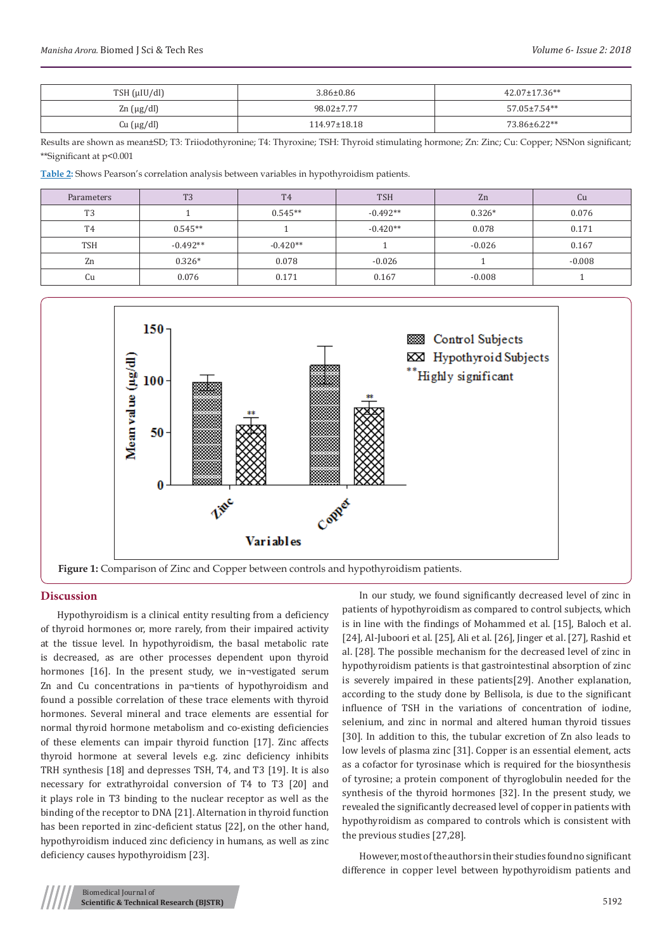| $TSH$ ( $\mu$ IU/dl) | $3.86 \pm 0.86$  | $42.07 \pm 17.36**$ |
|----------------------|------------------|---------------------|
| $\text{Zn}$ (µg/dl)  | $98.02 \pm 7.77$ | 57.05±7.54**        |
| Cu (µg/dl)           | 114.97±18.18     | 73.86±6.22**        |

Results are shown as mean±SD; T3: Triiodothyronine; T4: Thyroxine; TSH: Thyroid stimulating hormone; Zn: Zinc; Cu: Copper; NSNon significant; \*\*Significant at p<0.001

**Table 2:** Shows Pearson's correlation analysis between variables in hypothyroidism patients.

| Parameters     | T <sub>3</sub> | <b>T4</b>  | <b>TSH</b> | Zn       | Cu       |
|----------------|----------------|------------|------------|----------|----------|
| T <sub>3</sub> |                | $0.545**$  | $-0.492**$ | $0.326*$ | 0.076    |
| T <sub>4</sub> | $0.545**$      |            | $-0.420**$ | 0.078    | 0.171    |
| <b>TSH</b>     | $-0.492**$     | $-0.420**$ |            | $-0.026$ | 0.167    |
| Zn             | $0.326*$       | 0.078      | $-0.026$   |          | $-0.008$ |
| Cu             | 0.076          | 0.171      | 0.167      | $-0.008$ |          |



#### **Discussion**

Hypothyroidism is a clinical entity resulting from a deficiency of thyroid hormones or, more rarely, from their impaired activity at the tissue level. In hypothyroidism, the basal metabolic rate is decreased, as are other processes dependent upon thyroid hormones [16]. In the present study, we in¬vestigated serum Zn and Cu concentrations in pa¬tients of hypothyroidism and found a possible correlation of these trace elements with thyroid hormones. Several mineral and trace elements are essential for normal thyroid hormone metabolism and co-existing deficiencies of these elements can impair thyroid function [17]. Zinc affects thyroid hormone at several levels e.g. zinc deficiency inhibits TRH synthesis [18] and depresses TSH, T4, and T3 [19]. It is also necessary for extrathyroidal conversion of T4 to T3 [20] and it plays role in T3 binding to the nuclear receptor as well as the binding of the receptor to DNA [21]. Alternation in thyroid function has been reported in zinc-deficient status [22], on the other hand, hypothyroidism induced zinc deficiency in humans, as well as zinc deficiency causes hypothyroidism [23].

In our study, we found significantly decreased level of zinc in patients of hypothyroidism as compared to control subjects, which is in line with the findings of Mohammed et al. [15], Baloch et al. [24], Al-Juboori et al. [25], Ali et al. [26], Jinger et al. [27], Rashid et al. [28]. The possible mechanism for the decreased level of zinc in hypothyroidism patients is that gastrointestinal absorption of zinc is severely impaired in these patients[29]. Another explanation, according to the study done by Bellisola, is due to the significant influence of TSH in the variations of concentration of iodine, selenium, and zinc in normal and altered human thyroid tissues [30]. In addition to this, the tubular excretion of Zn also leads to low levels of plasma zinc [31]. Copper is an essential element, acts as a cofactor for tyrosinase which is required for the biosynthesis of tyrosine; a protein component of thyroglobulin needed for the synthesis of the thyroid hormones [32]. In the present study, we revealed the significantly decreased level of copper in patients with hypothyroidism as compared to controls which is consistent with the previous studies [27,28].

However, most of the authors in their studies found no significant difference in copper level between hypothyroidism patients and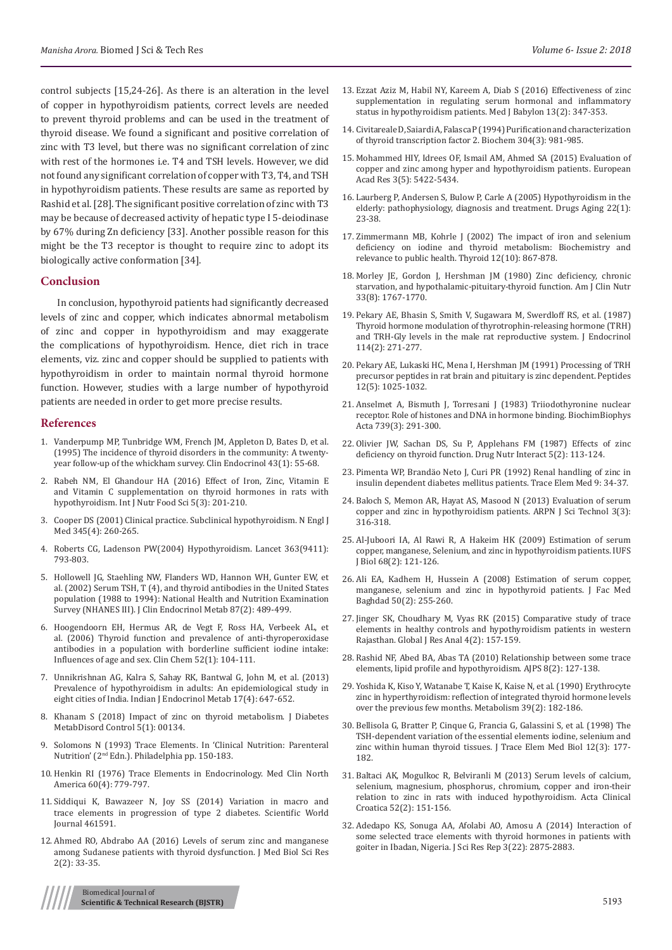control subjects [15,24-26]. As there is an alteration in the level of copper in hypothyroidism patients, correct levels are needed to prevent thyroid problems and can be used in the treatment of thyroid disease. We found a significant and positive correlation of zinc with T3 level, but there was no significant correlation of zinc with rest of the hormones i.e. T4 and TSH levels. However, we did not found any significant correlation of copper with T3, T4, and TSH in hypothyroidism patients. These results are same as reported by Rashid et al. [28]. The significant positive correlation of zinc with T3 may be because of decreased activity of hepatic type I 5-deiodinase by 67% during Zn deficiency [33]. Another possible reason for this might be the T3 receptor is thought to require zinc to adopt its biologically active conformation [34].

#### **Conclusion**

In conclusion, hypothyroid patients had significantly decreased levels of zinc and copper, which indicates abnormal metabolism of zinc and copper in hypothyroidism and may exaggerate the complications of hypothyroidism. Hence, diet rich in trace elements, viz. zinc and copper should be supplied to patients with hypothyroidism in order to maintain normal thyroid hormone function. However, studies with a large number of hypothyroid patients are needed in order to get more precise results.

#### **References**

- 1. [Vanderpump MP, Tunbridge WM, French JM, Appleton D, Bates D, et al.](https://www.ncbi.nlm.nih.gov/pubmed/7641412)  [\(1995\) The incidence of thyroid disorders in the community: A twenty](https://www.ncbi.nlm.nih.gov/pubmed/7641412)[year follow-up of the whickham survey. Clin Endocrinol 43\(1\): 55-68.](https://www.ncbi.nlm.nih.gov/pubmed/7641412)
- 2. [Rabeh NM, El Ghandour HA \(2016\) Effect of Iron, Zinc, Vitamin E](http://article.sciencepublishinggroup.com/html/10.11648.j.ijnfs.20160503.18.html)  [and Vitamin C supplementation on thyroid hormones in rats with](http://article.sciencepublishinggroup.com/html/10.11648.j.ijnfs.20160503.18.html)  [hypothyroidism. Int J Nutr Food Sci 5\(3\): 201-210.](http://article.sciencepublishinggroup.com/html/10.11648.j.ijnfs.20160503.18.html)
- 3. [Cooper DS \(2001\) Clinical practice. Subclinical hypothyroidism.](https://www.ncbi.nlm.nih.gov/pubmed/11474665) N Engl J Med [345\(4\): 260-265.](https://www.ncbi.nlm.nih.gov/pubmed/11474665)
- 4. [Roberts CG, Ladenson PW\(2004\) Hypothyroidism.](https://www.thelancet.com/journals/lancet/article/PIIS0140-6736(04)15696-1/abstract) Lancet 363(9411): [793-803.](https://www.thelancet.com/journals/lancet/article/PIIS0140-6736(04)15696-1/abstract)
- 5. [Hollowell JG, Staehling NW, Flanders WD, Hannon WH, Gunter EW, et](https://www.ncbi.nlm.nih.gov/pubmed/11836274)  [al. \(2002\) Serum TSH, T \(4\), and thyroid antibodies in the United States](https://www.ncbi.nlm.nih.gov/pubmed/11836274)  [population \(1988 to 1994\): National Health and Nutrition Examination](https://www.ncbi.nlm.nih.gov/pubmed/11836274)  Survey (NHANES III). [J Clin Endocrinol Metab](https://www.ncbi.nlm.nih.gov/pubmed/11836274) 87(2): 489-499.
- 6. [Hoogendoorn EH, Hermus AR, de Vegt F, Ross HA, Verbeek AL, et](https://www.ncbi.nlm.nih.gov/pubmed/16254196)  [al. \(2006\) Thyroid function and prevalence of anti-thyroperoxidase](https://www.ncbi.nlm.nih.gov/pubmed/16254196)  [antibodies in a population with borderline sufficient iodine intake:](https://www.ncbi.nlm.nih.gov/pubmed/16254196)  [Influences of age and sex.](https://www.ncbi.nlm.nih.gov/pubmed/16254196) Clin Chem 52(1): 104-111.
- 7. [Unnikrishnan AG, Kalra S, Sahay RK, Bantwal G, John M, et al. \(2013\)](https://www.ncbi.nlm.nih.gov/pmc/articles/PMC3743364/)  [Prevalence of hypothyroidism in adults: An epidemiological study in](https://www.ncbi.nlm.nih.gov/pmc/articles/PMC3743364/)  [eight cities of India. Indian J Endocrinol Metab 17\(4\): 647-652.](https://www.ncbi.nlm.nih.gov/pmc/articles/PMC3743364/)
- 8. [Khanam S \(2018\) Impact of zinc on thyroid metabolism. J Diabetes](http://medcraveonline.com/JDMDC/JDMDC-05-00134.pdf)  [MetabDisord Control 5\(1\): 00134.](http://medcraveonline.com/JDMDC/JDMDC-05-00134.pdf)
- 9. Solomons N (1993) Trace Elements. In 'Clinical Nutrition: Parenteral Nutrition' (2nd Edn.). Philadelphia pp. 150-183.
- 10. [Henkin RI \(1976\) Trace Elements in Endocrinology. Med Clin North](https://www.sciencedirect.com/science/article/pii/S0025712516318612)  [America 60\(4\): 779-797.](https://www.sciencedirect.com/science/article/pii/S0025712516318612)
- 11. [Siddiqui K, Bawazeer N, Joy SS \(2014\) Variation in macro and](https://www.hindawi.com/journals/tswj/2014/461591/)  [trace elements in progression of type 2 diabetes. Scientific World](https://www.hindawi.com/journals/tswj/2014/461591/)  Journal [461591.](https://www.hindawi.com/journals/tswj/2014/461591/)
- 12. [Ahmed RO, Abdrabo AA \(2016\) Levels of serum zinc and manganese](http://www.pearlresearchjournals.org/journals/jmbsr/archive/2016/Feb/pdf/Ahmed%20and%20Abdrabo.pdf)  [among Sudanese patients with thyroid dysfunction. J Med Biol Sci Res](http://www.pearlresearchjournals.org/journals/jmbsr/archive/2016/Feb/pdf/Ahmed%20and%20Abdrabo.pdf)  [2\(2\): 33-35.](http://www.pearlresearchjournals.org/journals/jmbsr/archive/2016/Feb/pdf/Ahmed%20and%20Abdrabo.pdf)
- 13. [Ezzat Aziz M, Habil NY, Kareem A, Diab S \(2016\) Effectiveness of zinc](http://www.medicaljb.com/article.aspx?jrid=1193) [supplementation in regulating serum hormonal and inflammatory](http://www.medicaljb.com/article.aspx?jrid=1193) [status in hypothyroidism patients. Med J Babylon 13\(2\): 347-353.](http://www.medicaljb.com/article.aspx?jrid=1193)
- 14. [Civitareale D, Saiardi A, Falasca P \(1994\) Purification and characterization](https://www.ncbi.nlm.nih.gov/pubmed/7818505) [of thyroid transcription factor 2. Biochem 304\(3\): 981-985.](https://www.ncbi.nlm.nih.gov/pubmed/7818505)
- 15. Mohammed HIY, Idrees OF, Ismail AM, Ahmed SA (2015) Evaluation of copper and zinc among hyper and hypothyroidism patients. European Acad Res 3(5): 5422-5434.
- 16. [Laurberg P, Andersen S, Bulow P, Carle A \(2005\) Hypothyroidism in the](https://www.ncbi.nlm.nih.gov/pubmed/15663347) [elderly: pathophysiology, diagnosis and treatment. Drugs Aging 22\(1\):](https://www.ncbi.nlm.nih.gov/pubmed/15663347) [23-38.](https://www.ncbi.nlm.nih.gov/pubmed/15663347)
- 17. [Zimmermann MB, Kohrle J \(2002\) The impact of iron and selenium](https://www.ncbi.nlm.nih.gov/pubmed/12487769) [deficiency on iodine and thyroid metabolism: Biochemistry and](https://www.ncbi.nlm.nih.gov/pubmed/12487769) [relevance to public health. Thyroid 12\(10\): 867-878.](https://www.ncbi.nlm.nih.gov/pubmed/12487769)
- 18. [Morley JE, Gordon J, Hershman JM \(1980\) Zinc deficiency, chronic](https://www.ncbi.nlm.nih.gov/pubmed/7405879) [starvation, and hypothalamic-pituitary-thyroid function. Am J Clin Nutr](https://www.ncbi.nlm.nih.gov/pubmed/7405879) [33\(8\): 1767-1770.](https://www.ncbi.nlm.nih.gov/pubmed/7405879)
- 19. [Pekary AE, Bhasin S, Smith V, Sugawara M, Swerdloff RS, et al. \(1987\)](https://www.ncbi.nlm.nih.gov/pubmed/3116140) [Thyroid hormone modulation of thyrotrophin-releasing hormone \(TRH\)](https://www.ncbi.nlm.nih.gov/pubmed/3116140) [and TRH-Gly levels in the male rat reproductive system. J Endocrinol](https://www.ncbi.nlm.nih.gov/pubmed/3116140) [114\(2\): 271-277.](https://www.ncbi.nlm.nih.gov/pubmed/3116140)
- 20. [Pekary AE, Lukaski HC, Mena I, Hershman JM \(1991\) Processing of TRH](https://www.ncbi.nlm.nih.gov/pubmed/1800945) [precursor peptides in rat brain and pituitary is zinc dependent. Peptides](https://www.ncbi.nlm.nih.gov/pubmed/1800945) [12\(5\): 1025-1032.](https://www.ncbi.nlm.nih.gov/pubmed/1800945)
- 21. [Anselmet A, Bismuth J, Torresani J \(1983\) Triiodothyronine nuclear](https://www.ncbi.nlm.nih.gov/pubmed/6299360) [receptor. Role of histones and DNA in hormone binding. BiochimBiophys](https://www.ncbi.nlm.nih.gov/pubmed/6299360) [Acta 739\(3\): 291-300.](https://www.ncbi.nlm.nih.gov/pubmed/6299360)
- 22. [Olivier JW, Sachan DS, Su P, Applehans FM \(1987\) Effects of zinc](https://www.ncbi.nlm.nih.gov/pubmed/3608829) [deficiency on thyroid function. Drug Nutr Interact 5\(2\): 113-124.](https://www.ncbi.nlm.nih.gov/pubmed/3608829)
- 23. Pimenta WP, Brandäo Neto J, Curi PR (1992) Renal handling of zinc in insulin dependent diabetes mellitus patients. Trace Elem Med 9: 34-37.
- 24. [Baloch S, Memon AR, Hayat AS, Masood N \(2013\) Evaluation of serum](http://www.ejournalofscience.org/archive/vol3no3/vol3no3_11.pdf) [copper and zinc in hypothyroidism patients. ARPN J Sci Technol 3\(3\):](http://www.ejournalofscience.org/archive/vol3no3/vol3no3_11.pdf) [316-318.](http://www.ejournalofscience.org/archive/vol3no3/vol3no3_11.pdf)
- 25. [Al-Juboori IA, Al Rawi R, A Hakeim HK \(2009\) Estimation of serum](http://www.journals.istanbul.edu.tr/iufsjb/article/view/1023000626) [copper, manganese, Selenium, and zinc in hypothyroidism patients. IUFS](http://www.journals.istanbul.edu.tr/iufsjb/article/view/1023000626) [J Biol 68\(2\): 121-126.](http://www.journals.istanbul.edu.tr/iufsjb/article/view/1023000626)
- 26. [Ali EA, Kadhem H, Hussein A \(2008\) Estimation of serum copper,](https://www.iasj.net/iasj?func=fulltext&aId=1043) [manganese, selenium and zinc in hypothyroid patients. J Fac Med](https://www.iasj.net/iasj?func=fulltext&aId=1043) [Baghdad 50\(2\): 255-260.](https://www.iasj.net/iasj?func=fulltext&aId=1043)
- 27. Jinger SK, Choudhary M, Vyas RK (2015) Comparative study of trace elements in healthy controls and hypothyroidism patients in western Rajasthan. Global J Res Anal 4(2): 157-159.
- 28. Rashid NF, Abed BA, Abas TA (2010) Relationship between some trace elements, lipid profile and hypothyroidism. AJPS 8(2): 127-138.
- 29. [Yoshida K, Kiso Y, Watanabe T, Kaise K, Kaise N, et al. \(1990\) Erythrocyte](https://www.ncbi.nlm.nih.gov/pubmed/2299989) [zinc in hyperthyroidism: reflection of integrated thyroid hormone levels](https://www.ncbi.nlm.nih.gov/pubmed/2299989) [over the previous few months. Metabolism 39\(2\): 182-186.](https://www.ncbi.nlm.nih.gov/pubmed/2299989)
- 30. [Bellisola G, Bratter P, Cinque G, Francia G, Galassini S, et al. \(1998\) The](https://www.ncbi.nlm.nih.gov/pubmed/9857330) [TSH-dependent variation of the essential elements iodine, selenium and](https://www.ncbi.nlm.nih.gov/pubmed/9857330) [zinc within human thyroid tissues. J Trace Elem Med Biol 12\(3\): 177-](https://www.ncbi.nlm.nih.gov/pubmed/9857330) [182.](https://www.ncbi.nlm.nih.gov/pubmed/9857330)
- 31. [Baltaci AK, Mogulkoc R, Belviranli M \(2013\) Serum levels of calcium,](https://www.ncbi.nlm.nih.gov/pubmed/24053074) [selenium, magnesium, phosphorus, chromium, copper and iron-their](https://www.ncbi.nlm.nih.gov/pubmed/24053074) [relation to zinc in rats with induced hypothyroidism. Acta Clinical](https://www.ncbi.nlm.nih.gov/pubmed/24053074) [Croatica 52\(2\): 151-156.](https://www.ncbi.nlm.nih.gov/pubmed/24053074)
- 32. [Adedapo KS, Sonuga AA, Afolabi AO, Amosu A \(2014\) Interaction of](http://www.sciencedomain.org/abstract/5969) [some selected trace elements with thyroid hormones in patients with](http://www.sciencedomain.org/abstract/5969) [goiter in Ibadan, Nigeria. J Sci Res Rep 3\(22\): 2875-2883.](http://www.sciencedomain.org/abstract/5969)